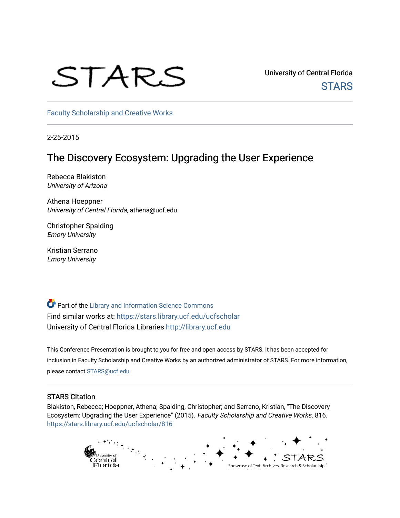## STARS

University of Central Florida **STARS** 

[Faculty Scholarship and Creative Works](https://stars.library.ucf.edu/ucfscholar) 

2-25-2015

## The Discovery Ecosystem: Upgrading the User Experience

Rebecca Blakiston University of Arizona

Athena Hoeppner University of Central Florida, athena@ucf.edu

Christopher Spalding Emory University

Kristian Serrano Emory University

Part of the [Library and Information Science Commons](http://network.bepress.com/hgg/discipline/1018?utm_source=stars.library.ucf.edu%2Fucfscholar%2F816&utm_medium=PDF&utm_campaign=PDFCoverPages)  Find similar works at: <https://stars.library.ucf.edu/ucfscholar> University of Central Florida Libraries [http://library.ucf.edu](http://library.ucf.edu/) 

This Conference Presentation is brought to you for free and open access by STARS. It has been accepted for inclusion in Faculty Scholarship and Creative Works by an authorized administrator of STARS. For more information, please contact [STARS@ucf.edu](mailto:STARS@ucf.edu).

## STARS Citation

Blakiston, Rebecca; Hoeppner, Athena; Spalding, Christopher; and Serrano, Kristian, "The Discovery Ecosystem: Upgrading the User Experience" (2015). Faculty Scholarship and Creative Works. 816. [https://stars.library.ucf.edu/ucfscholar/816](https://stars.library.ucf.edu/ucfscholar/816?utm_source=stars.library.ucf.edu%2Fucfscholar%2F816&utm_medium=PDF&utm_campaign=PDFCoverPages)